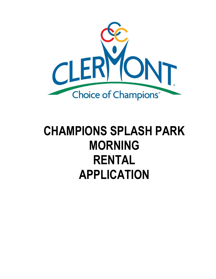

# **CHAMPIONS SPLASH PARK MORNING RENTAL APPLICATION**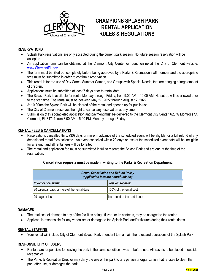

# **CHAMPIONS SPLASH PARK RENTAL APPLICATION RULES & REGULATIONS**

# **RESERVATIONS**

- Splash Park reservations are only accepted during the current park season. No future season reservation will be accepted.
- An application form can be obtained at the Clermont City Center or found online at the City of Clermont website, [www.ClermontFL.gov](http://www.clermontfl.gov/)
- The form must be filled out completely before being approved by a Parks & Recreation staff member and the appropriate fees must be submitted in order to confirm a reservation.
- This rental is for the use of Day Cares, Summer Camps, and Groups with Special Needs, that are bringing a large amount of children.
- Applications must be submitted at least 7 days prior to rental date.
- The Splash Park is available for rental Monday through Friday, from 9:00 AM 10:00 AM. No set up will be allowed prior to the start time. The rental must be between May 27, 2022 through August 12, 2022.
- At 10:00am the Splash Park will be cleared of the rental and opened up for public use.
- The City of Clermont reserves the right to cancel any reservation at any time.
- Submission of this completed application and payment must be delivered to the Clermont City Center, 620 W Montrose St, Clermont, FL 34711 from 8:00 AM – 5:00 PM, Monday through Friday.

# **RENTAL FEES & CANCELLATIONS**

- Reservations cancelled thirty (30) days or more in advance of the scheduled event will be eligible for a full refund of any deposit and rental fees collected. An event cancelled within 29 days or less of the scheduled event date will be ineligible for a refund, and all rental fees will be forfeited.
- The rental and application fee must be submitted in full to reserve the Splash Park and are due at the time of the reservation.

#### **Cancellation requests must be made in writing to the Parks & Recreation Department.**

| <b>Rental Cancellation and Refund Policy</b><br>(application fees are nonrefundable) |                              |  |  |  |
|--------------------------------------------------------------------------------------|------------------------------|--|--|--|
| If you cancel within:                                                                | You will receive:            |  |  |  |
| 30 calendar days or more of the rental date                                          | 100% of the rental cost      |  |  |  |
| 29 days or less                                                                      | No refund of the rental cost |  |  |  |

#### **DAMAGES**

- The total cost of damage to any of the facilities being utilized, or its contents, may be charged to the renter.
- Applicant is responsible for any vandalism or damage to the Splash Park and/or fixtures during their rental dates.

#### **RENTAL STAFFING**

Your rental will include City of Clermont Splash Park attendant to maintain the rules and operations of the Splash Park.

#### **RESPONSIBILITY OF USERS**

- Renters are responsible for leaving the park in the same condition it was in before use. All trash is to be placed in outside receptacles.
- The Parks & Recreation Director may deny the use of this park to any person or organization that refuses to clean the park after use, or damages the park.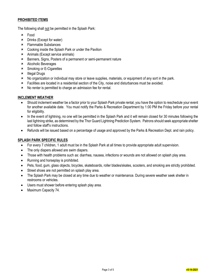# **PROHIBITED ITEMS**

The following shall not be permitted in the Splash Park:

- Food
- Drinks (Except for water)
- Flammable Substances
- Cooking inside the Splash Park or under the Pavilion
- Animals (Except service animals)
- Banners, Signs, Posters of a permanent or semi-permanent nature
- Alcoholic Beverages
- **\*** Smoking or E-Cigarettes
- $\times$  Illegal Drugs
- No organization or individual may store or leave supplies, materials, or equipment of any sort in the park.
- Facilities are located in a residential section of the City, noise and disturbances must be avoided.
- No renter is permitted to charge an admission fee for rental.

# **INCLEMENT WEATHER**

- Should inclement weather be a factor prior to your Splash Park private rental, you have the option to reschedule your event for another available date. You must notify the Parks & Recreation Department by 1:00 PM the Friday before your rental for eligibility.
- In the event of lightning, no one will be permitted in the Splash Park and it will remain closed for 30 minutes following the last lightning strike, as determined by the Thor Guard Lightning Prediction System. Patrons should seek appropriate shelter and follow staff's instructions.
- Refunds will be issued based on a percentage of usage and approved by the Parks & Recreation Dept. and rain policy.

# **SPLASH PARK SPECIFIC RULES**

- For every 7 children, 1 adult must be in the Splash Park at all times to provide appropriate adult supervision.
- The only diapers allowed are swim diapers.
- Those with health problems such as: diarrhea, nausea, infections or wounds are not allowed on splash play area.
- Running and horseplay is prohibited.
- Pets, food, gum, glass objects, bicycles, skateboards, roller blades/skates, scooters, and smoking are strictly prohibited.
- Street shoes are not permitted on splash play area.
- The Splash Park may be closed at any time due to weather or maintenance. During severe weather seek shelter in restrooms or vehicles.
- Users must shower before entering splash play area.
- Maximum Capacity 74.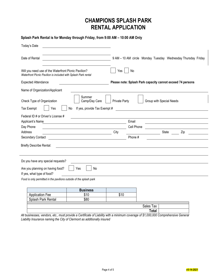# **CHAMPIONS SPLASH PARK RENTAL APPLICATION**

**Splash Park Rental is for Monday through Friday, from 9:00 AM – 10:00 AM Only**

| Today's Date                                                                                                           |                                                                                                                         |                      |                                                            |                          |                                                              |
|------------------------------------------------------------------------------------------------------------------------|-------------------------------------------------------------------------------------------------------------------------|----------------------|------------------------------------------------------------|--------------------------|--------------------------------------------------------------|
| Date of Rental                                                                                                         | <u> 1980 - Johann Barbara, martxa eta politikar</u>                                                                     |                      |                                                            |                          | 9 AM - 10 AM circle Monday Tuesday Wednesday Thursday Friday |
| Will you need use of the Waterfront Picnic Pavilion?<br>Waterfront Picnic Pavilion is included with Splash Park rental |                                                                                                                         | Yes                  | No                                                         |                          |                                                              |
| <b>Expected Attendance</b>                                                                                             |                                                                                                                         |                      | Please note: Splash Park capacity cannot exceed 74 persons |                          |                                                              |
| Name of Organization/Applicant                                                                                         |                                                                                                                         |                      |                                                            |                          |                                                              |
| Check Type of Organization<br><b>Tax Exempt</b><br>Yes                                                                 | Summer<br>Camp/Day Care<br>If yes, provide Tax Exempt #<br>No                                                           | <b>Private Party</b> |                                                            | Group with Special Needs |                                                              |
| Federal ID # or Driver's License #                                                                                     |                                                                                                                         |                      |                                                            |                          |                                                              |
| Applicant's Name                                                                                                       |                                                                                                                         |                      | Email                                                      |                          |                                                              |
| Day Phone                                                                                                              |                                                                                                                         |                      | Cell Phone                                                 |                          |                                                              |
| Address                                                                                                                | <u> 1989 - Johann Stoff, deutscher Stoffen und der Stoffen und der Stoffen und der Stoffen und der Stoffen und der </u> | City                 |                                                            | State                    | Zip                                                          |
| Secondary Contact                                                                                                      |                                                                                                                         |                      | Phone #                                                    |                          |                                                              |
| <b>Briefly Describe Rental:</b>                                                                                        |                                                                                                                         |                      |                                                            |                          |                                                              |
| Do you have any special requests?<br>Are you planning on having food?<br>If yes, what type of food?                    | Yes<br>No.                                                                                                              |                      |                                                            |                          |                                                              |
| Food is only permitted in the pavilions outside of the splash park                                                     |                                                                                                                         |                      |                                                            |                          |                                                              |
|                                                                                                                        | <b>Business</b>                                                                                                         |                      |                                                            |                          |                                                              |
| <b>Application Fee</b>                                                                                                 | \$10                                                                                                                    | \$10                 |                                                            |                          |                                                              |
| Splash Park Rental                                                                                                     | \$80                                                                                                                    |                      |                                                            |                          |                                                              |
|                                                                                                                        |                                                                                                                         |                      | Sales Tax                                                  |                          |                                                              |

**Total** *All businesses, vendors, etc., must provide a Certificate of Liability with a minimum coverage of \$1,000,000 Comprehensive General Liability Insurance naming the City of Clermont as additionally insured*